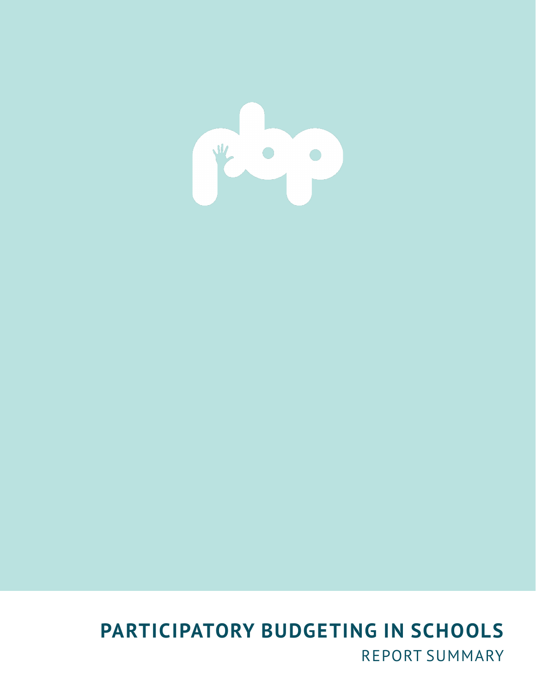

# **PARTICIPATORY BUDGETING IN SCHOOLS** REPORT SUMMARY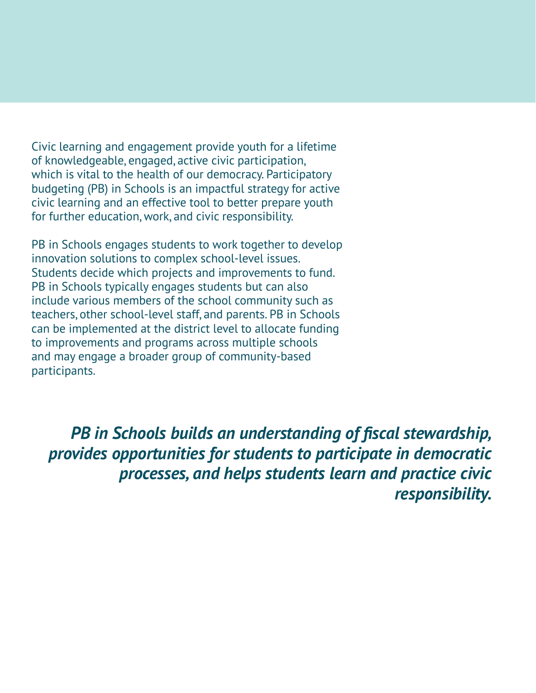Civic learning and engagement provide youth for a lifetime of knowledgeable, engaged, active civic participation, which is vital to the health of our democracy. Participatory budgeting (PB) in Schools is an impactful strategy for active civic learning and an effective tool to better prepare youth for further education, work, and civic responsibility.

PB in Schools engages students to work together to develop innovation solutions to complex school-level issues. Students decide which projects and improvements to fund. PB in Schools typically engages students but can also include various members of the school community such as teachers, other school-level staff, and parents. PB in Schools can be implemented at the district level to allocate funding to improvements and programs across multiple schools and may engage a broader group of community-based participants.

*PB in Schools builds an understanding of fiscal stewardship, provides opportunities for students to participate in democratic processes, and helps students learn and practice civic responsibility.*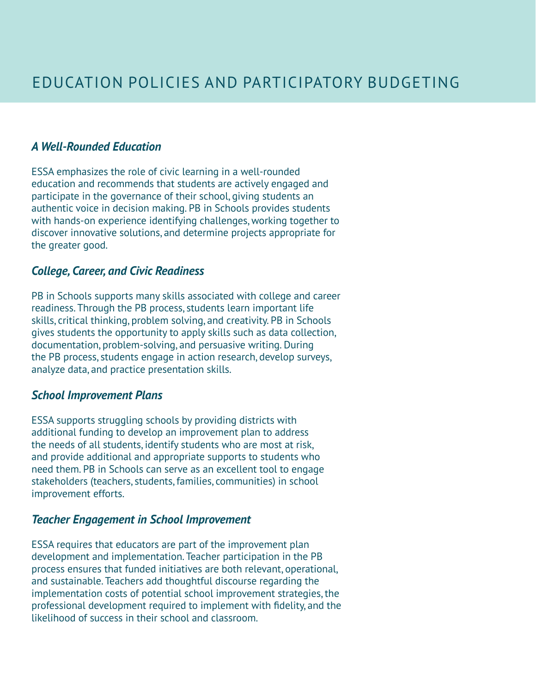#### *A Well-Rounded Education*

ESSA emphasizes the role of civic learning in a well-rounded education and recommends that students are actively engaged and participate in the governance of their school, giving students an authentic voice in decision making. PB in Schools provides students with hands-on experience identifying challenges, working together to discover innovative solutions, and determine projects appropriate for the greater good.

#### *College, Career, and Civic Readiness*

PB in Schools supports many skills associated with college and career readiness. Through the PB process, students learn important life skills, critical thinking, problem solving, and creativity. PB in Schools gives students the opportunity to apply skills such as data collection, documentation, problem-solving, and persuasive writing. During the PB process, students engage in action research, develop surveys, analyze data, and practice presentation skills.

#### *School Improvement Plans*

ESSA supports struggling schools by providing districts with additional funding to develop an improvement plan to address the needs of all students, identify students who are most at risk, and provide additional and appropriate supports to students who need them. PB in Schools can serve as an excellent tool to engage stakeholders (teachers, students, families, communities) in school improvement efforts.

#### *Teacher Engagement in School Improvement*

ESSA requires that educators are part of the improvement plan development and implementation. Teacher participation in the PB process ensures that funded initiatives are both relevant, operational, and sustainable. Teachers add thoughtful discourse regarding the implementation costs of potential school improvement strategies, the professional development required to implement with fidelity, and the likelihood of success in their school and classroom.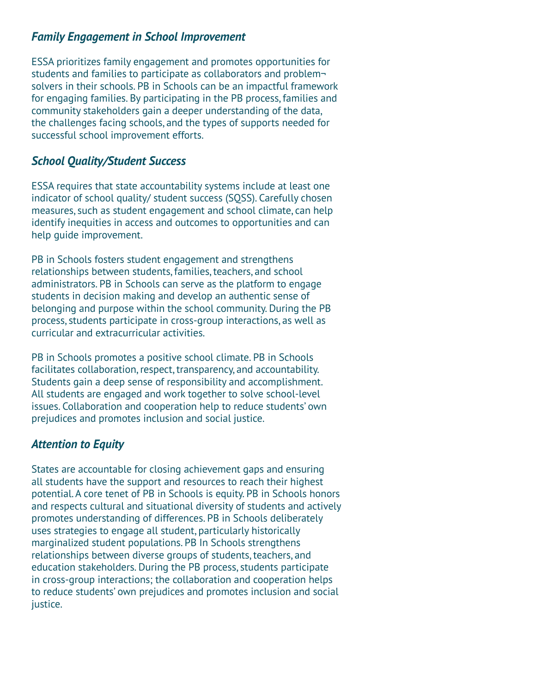# *Family Engagement in School Improvement*

ESSA prioritizes family engagement and promotes opportunities for students and families to participate as collaborators and problem solvers in their schools. PB in Schools can be an impactful framework for engaging families. By participating in the PB process, families and community stakeholders gain a deeper understanding of the data, the challenges facing schools, and the types of supports needed for successful school improvement efforts.

### *School Quality/Student Success*

ESSA requires that state accountability systems include at least one indicator of school quality/ student success (SQSS). Carefully chosen measures, such as student engagement and school climate, can help identify inequities in access and outcomes to opportunities and can help guide improvement.

PB in Schools fosters student engagement and strengthens relationships between students, families, teachers, and school administrators. PB in Schools can serve as the platform to engage students in decision making and develop an authentic sense of belonging and purpose within the school community. During the PB process, students participate in cross-group interactions, as well as curricular and extracurricular activities.

PB in Schools promotes a positive school climate. PB in Schools facilitates collaboration, respect, transparency, and accountability. Students gain a deep sense of responsibility and accomplishment. All students are engaged and work together to solve school-level issues. Collaboration and cooperation help to reduce students' own prejudices and promotes inclusion and social justice.

# *Attention to Equity*

States are accountable for closing achievement gaps and ensuring all students have the support and resources to reach their highest potential. A core tenet of PB in Schools is equity. PB in Schools honors and respects cultural and situational diversity of students and actively promotes understanding of differences. PB in Schools deliberately uses strategies to engage all student, particularly historically marginalized student populations. PB In Schools strengthens relationships between diverse groups of students, teachers, and education stakeholders. During the PB process, students participate in cross-group interactions; the collaboration and cooperation helps to reduce students' own prejudices and promotes inclusion and social justice.